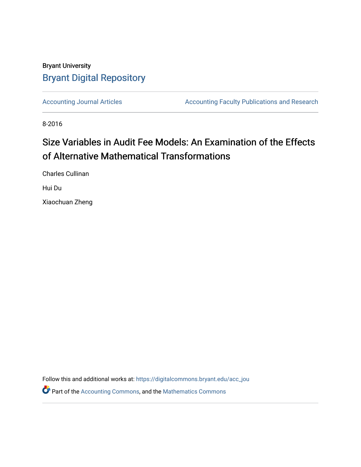## Bryant University [Bryant Digital Repository](https://digitalcommons.bryant.edu/)

[Accounting Journal Articles](https://digitalcommons.bryant.edu/acc_jou) **Accounting Faculty Publications and Research** 

8-2016

# Size Variables in Audit Fee Models: An Examination of the Effects of Alternative Mathematical Transformations

Charles Cullinan

Hui Du

Xiaochuan Zheng

Follow this and additional works at: [https://digitalcommons.bryant.edu/acc\\_jou](https://digitalcommons.bryant.edu/acc_jou?utm_source=digitalcommons.bryant.edu%2Facc_jou%2F152&utm_medium=PDF&utm_campaign=PDFCoverPages)

Part of the [Accounting Commons](http://network.bepress.com/hgg/discipline/625?utm_source=digitalcommons.bryant.edu%2Facc_jou%2F152&utm_medium=PDF&utm_campaign=PDFCoverPages), and the [Mathematics Commons](http://network.bepress.com/hgg/discipline/174?utm_source=digitalcommons.bryant.edu%2Facc_jou%2F152&utm_medium=PDF&utm_campaign=PDFCoverPages)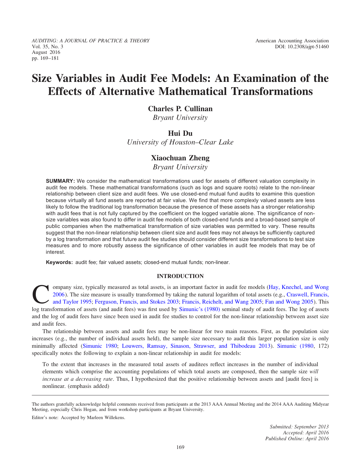AUDITING: A JOURNAL OF PRACTICE & THEORY AMERICAN AMERICAN American Accounting Association Vol. 35, No. 3 DOI: 10.2308/ajpt-51460 August 2016 pp. 169–181

## Size Variables in Audit Fee Models: An Examination of the Effects of Alternative Mathematical Transformations

## Charles P. Cullinan

Bryant University

## Hui Du

University of Houston–Clear Lake

## Xiaochuan Zheng

Bryant University

SUMMARY: We consider the mathematical transformations used for assets of different valuation complexity in audit fee models. These mathematical transformations (such as logs and square roots) relate to the non-linear relationship between client size and audit fees. We use closed-end mutual fund audits to examine this question because virtually all fund assets are reported at fair value. We find that more complexly valued assets are less likely to follow the traditional log transformation because the presence of these assets has a stronger relationship with audit fees that is not fully captured by the coefficient on the logged variable alone. The significance of nonsize variables was also found to differ in audit fee models of both closed-end funds and a broad-based sample of public companies when the mathematical transformation of size variables was permitted to vary. These results suggest that the non-linear relationship between client size and audit fees may not always be sufficiently captured by a log transformation and that future audit fee studies should consider different size transformations to test size measures and to more robustly assess the significance of other variables in audit fee models that may be of interest.

Keywords: audit fee; fair valued assets; closed-end mutual funds; non-linear.

### INTRODUCTION

ompany size, typically measured as total assets, is an important factor in audit fee models (Hay, Knechel, and Wong 2006). The size measure is usually transformed by taking the natural logarithm of total assets (e.g., Craswell, Francis, and Taylor 1995; Ferguson, Francis, and Stokes 2003; Francis, Reichelt, and Wang 2005; Fan and Wong 2005). This log transformation of assets (and audit fees) was first used by Simunic's (1980) seminal study of audit fees. The log of assets and the log of audit fees have since been used in audit fee studies to control for the non-linear relationship between asset size and audit fees.

The relationship between assets and audit fees may be non-linear for two main reasons. First, as the population size increases (e.g., the number of individual assets held), the sample size necessary to audit this larger population size is only minimally affected (Simunic 1980; Louwers, Ramsay, Sinason, Strawser, and Thibodeau 2013). Simunic (1980, 172) specifically notes the following to explain a non-linear relationship in audit fee models:

To the extent that increases in the measured total assets of auditees reflect increases in the number of individual elements which comprise the accounting populations of which total assets are composed, then the sample size will increase at a decreasing rate. Thus, I hypothesized that the positive relationship between assets and [audit fees] is nonlinear. (emphasis added)

Editor's note: Accepted by Marleen Willekens.

The authors gratefully acknowledge helpful comments received from participants at the 2013 AAA Annual Meeting and the 2014 AAA Auditing Midyear Meeting, especially Chris Hogan, and from workshop participants at Bryant University.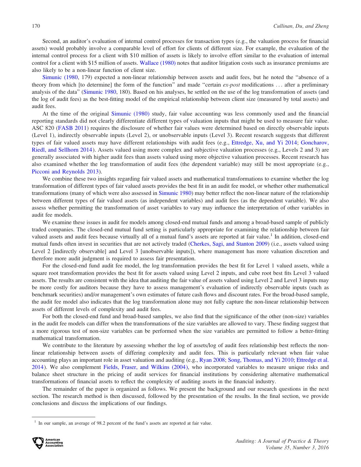Second, an auditor's evaluation of internal control processes for transaction types (e.g., the valuation process for financial assets) would probably involve a comparable level of effort for clients of different size. For example, the evaluation of the internal control process for a client with \$10 million of assets is likely to involve effort similar to the evaluation of internal control for a client with \$15 million of assets. Wallace (1980) notes that auditor litigation costs such as insurance premiums are also likely to be a non-linear function of client size.

Simunic (1980, 179) expected a non-linear relationship between assets and audit fees, but he noted the ''absence of a theory from which [to determine] the form of the function" and made "certain  $ex$ -post modifications  $\dots$  after a preliminary analysis of the data" (Simunic 1980, 180). Based on his analyses, he settled on the use of the log transformation of assets (and the log of audit fees) as the best-fitting model of the empirical relationship between client size (measured by total assets) and audit fees.

At the time of the original Simunic (1980) study, fair value accounting was less commonly used and the financial reporting standards did not clearly differentiate different types of valuation inputs that might be used to measure fair value. ASC 820 (FASB 2011) requires the disclosure of whether fair values were determined based on directly observable inputs (Level 1), indirectly observable inputs (Level 2), or unobservable inputs (Level 3). Recent research suggests that different types of fair valued assets may have different relationships with audit fees (e.g., Ettredge, Xu, and Yi 2014; Goncharov, Riedl, and Sellhorn 2014). Assets valued using more complex and subjective valuation processes (e.g., Levels 2 and 3) are generally associated with higher audit fees than assets valued using more objective valuation processes. Recent research has also examined whether the log transformation of audit fees (the dependent variable) may still be most appropriate (e.g., Picconi and Reynolds 2013).

We combine these two insights regarding fair valued assets and mathematical transformations to examine whether the log transformation of different types of fair valued assets provides the best fit in an audit fee model, or whether other mathematical transformations (many of which were also assessed in Simunic 1980) may better reflect the non-linear nature of the relationship between different types of fair valued assets (as independent variables) and audit fees (as the dependent variable). We also assess whether permitting the transformation of asset variables to vary may influence the interpretation of other variables in audit fee models.

We examine these issues in audit fee models among closed-end mutual funds and among a broad-based sample of publicly traded companies. The closed-end mutual fund setting is particularly appropriate for examining the relationship between fair valued assets and audit fees because virtually all of a mutual fund's assets are reported at fair value.<sup>1</sup> In addition, closed-end mutual funds often invest in securities that are not actively traded (Cherkes, Sagi, and Stanton 2009) (i.e., assets valued using Level 2 [indirectly observable] and Level 3 [unobservable inputs]), where management has more valuation discretion and therefore more audit judgment is required to assess fair presentation.

For the closed-end fund audit fee model, the log transformation provides the best fit for Level 1 valued assets, while a square root transformation provides the best fit for assets valued using Level 2 inputs, and cube root best fits Level 3 valued assets. The results are consistent with the idea that auditing the fair value of assets valued using Level 2 and Level 3 inputs may be more costly for auditors because they have to assess management's evaluation of indirectly observable inputs (such as benchmark securities) and/or management's own estimates of future cash flows and discount rates. For the broad-based sample, the audit fee model also indicates that the log transformation alone may not fully capture the non-linear relationship between assets of different levels of complexity and audit fees.

For both the closed-end fund and broad-based samples, we also find that the significance of the other (non-size) variables in the audit fee models can differ when the transformations of the size variables are allowed to vary. These finding suggest that a more rigorous test of non-size variables can be performed when the size variables are permitted to follow a better-fitting mathematical transformation.

We contribute to the literature by assessing whether the log of assets/log of audit fees relationship best reflects the nonlinear relationship between assets of differing complexity and audit fees. This is particularly relevant when fair value accounting plays an important role in asset valuation and auditing (e.g., Ryan 2008; Song, Thomas, and Yi 2010; Ettredge et al. 2014). We also complement Fields, Fraser, and Wilkins (2004), who incorporated variables to measure unique risks and balance sheet structure in the pricing of audit services for financial institutions by considering alternative mathematical transformations of financial assets to reflect the complexity of auditing assets in the financial industry.

The remainder of the paper is organized as follows. We present the background and our research questions in the next section. The research method is then discussed, followed by the presentation of the results. In the final section, we provide conclusions and discuss the implications of our findings.

In our sample, an average of 98.2 percent of the fund's assets are reported at fair value.

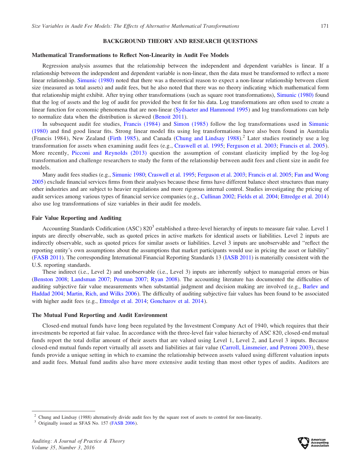### BACKGROUND THEORY AND RESEARCH QUESTIONS

### Mathematical Transformations to Reflect Non-Linearity in Audit Fee Models

Regression analysis assumes that the relationship between the independent and dependent variables is linear. If a relationship between the independent and dependent variable is non-linear, then the data must be transformed to reflect a more linear relationship. Simunic (1980) noted that there was a theoretical reason to expect a non-linear relationship between client size (measured as total assets) and audit fees, but he also noted that there was no theory indicating which mathematical form that relationship might exhibit. After trying other transformations (such as square root transformations), Simunic (1980) found that the log of assets and the log of audit fee provided the best fit for his data. Log transformations are often used to create a linear function for economic phenomena that are non-linear (Sydsaeter and Hammond 1995) and log transformations can help to normalize data when the distribution is skewed (Benoit 2011).

In subsequent audit fee studies, Francis (1984) and Simon (1985) follow the log transformations used in Simunic (1980) and find good linear fits. Strong linear model fits using log transformations have also been found in Australia (Francis 1984), New Zealand (Firth 1985), and Canada (Chung and Lindsay 1988).<sup>2</sup> Later studies routinely use a log transformation for assets when examining audit fees (e.g., Craswell et al. 1995; Ferguson et al. 2003; Francis et al. 2005). More recently, Picconi and Reynolds (2013) question the assumption of constant elasticity implied by the log-log transformation and challenge researchers to study the form of the relationship between audit fees and client size in audit fee models.

Many audit fees studies (e.g., Simunic 1980; Craswell et al. 1995; Ferguson et al. 2003; Francis et al. 2005; Fan and Wong 2005) exclude financial services firms from their analyses because these firms have different balance sheet structures than many other industries and are subject to heavier regulations and more rigorous internal control. Studies investigating the pricing of audit services among various types of financial service companies (e.g., Cullinan 2002; Fields et al. 2004; Ettredge et al. 2014) also use log transformations of size variables in their audit fee models.

### Fair Value Reporting and Auditing

Accounting Standards Codification (ASC) 820<sup>3</sup> established a three-level hierarchy of inputs to measure fair value. Level 1 inputs are directly observable, such as quoted prices in active markets for identical assets or liabilities. Level 2 inputs are indirectly observable, such as quoted prices for similar assets or liabilities. Level 3 inputs are unobservable and ''reflect the reporting entity's own assumptions about the assumptions that market participants would use in pricing the asset or liability'' (FASB 2011). The corresponding International Financial Reporting Standards 13 (IASB 2011) is materially consistent with the U.S. reporting standards.

These indirect (i.e., Level 2) and unobservable (i.e., Level 3) inputs are inherently subject to managerial errors or bias (Benston 2008; Landsman 2007; Penman 2007; Ryan 2008). The accounting literature has documented the difficulties of auditing subjective fair value measurements when substantial judgment and decision making are involved (e.g., Barlev and Haddad 2004; Martin, Rich, and Wilks 2006). The difficulty of auditing subjective fair values has been found to be associated with higher audit fees (e.g., Ettredge et al. 2014; Goncharov et al. 2014).

#### The Mutual Fund Reporting and Audit Environment

Closed-end mutual funds have long been regulated by the Investment Company Act of 1940, which requires that their investments be reported at fair value. In accordance with the three-level fair value hierarchy of ASC 820, closed-end mutual funds report the total dollar amount of their assets that are valued using Level 1, Level 2, and Level 3 inputs. Because closed-end mutual funds report virtually all assets and liabilities at fair value (Carroll, Linsmeier, and Petroni 2003), these funds provide a unique setting in which to examine the relationship between assets valued using different valuation inputs and audit fees. Mutual fund audits also have more extensive audit testing than most other types of audits. Auditors are



<sup>2</sup> Chung and Lindsay (1988) alternatively divide audit fees by the square root of assets to control for non-linearity. <sup>3</sup> Originally issued as SFAS No. 157 (FASB 2006).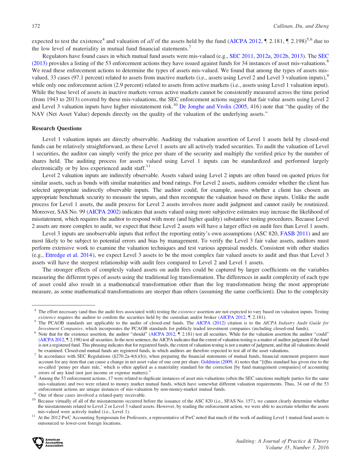expected to test the existence<sup>4</sup> and valuation of *all* of the assets held by the fund (AICPA 2012,  $\int$  2.181,  $\int$  2.198)<sup>5,6</sup> due to the low level of materiality in mutual fund financial statements.<sup>7</sup>

Regulators have found cases in which mutual fund assets were mis-valued (e.g., SEC 2011, 2012a, 2012b, 2013). The SEC (2013) provides a listing of the 53 enforcement actions they have issued against funds for 34 instances of asset mis-valuations.<sup>8</sup> We read these enforcement actions to determine the types of assets mis-valued. We found that among the types of assets misvalued, 33 cases (97.1 percent) related to assets from inactive markets (i.e., assets using Level 2 and Level 3 valuation inputs),<sup>9</sup> while only one enforcement action (2.9 percent) related to assets from active markets (i.e., assets using Level 1 valuation input). While the base level of assets in inactive markets versus active markets cannot be consistently measured across the time period (from 1943 to 2013) covered by these mis-valuations, the SEC enforcement actions suggest that fair value assets using Level 2 and Level 3 valuation inputs have higher misstatement risk.<sup>10</sup> De Jonghe and Vrolix (2005, 416) note that "the quality of the NAV (Net Asset Value) depends directly on the quality of the valuation of the underlying assets.''

### Research Questions

Level 1 valuation inputs are directly observable. Auditing the valuation assertion of Level 1 assets held by closed-end funds can be relatively straightforward, as these Level 1 assets are all actively traded securities. To audit the valuation of Level 1 securities, the auditor can simply verify the price per share of the security and multiply the verified price by the number of shares held. The auditing process for assets valued using Level 1 inputs can be standardized and performed largely electronically or by less experienced audit staff. $^{11}$ 

Level 2 valuation inputs are indirectly observable. Assets valued using Level 2 inputs are often based on quoted prices for similar assets, such as bonds with similar maturities and bond ratings. For Level 2 assets, auditors consider whether the client has selected appropriate indirectly observable inputs. The auditor could, for example, assess whether a client has chosen an appropriate benchmark security to measure the inputs, and then recompute the valuation based on these inputs. Unlike the audit process for Level 1 assets, the audit process for Level 2 assets involves more audit judgment and cannot easily be routinized. Moreover, SAS No. 99 (AICPA 2002) indicates that assets valued using more subjective estimates may increase the likelihood of misstatement, which requires the auditor to respond with more (and higher quality) substantive testing procedures. Because Level 2 assets are more complex to audit, we expect that these Level 2 assets will have a larger effect on audit fees than Level 1 assets.

Level 3 inputs are unobservable inputs that reflect the reporting entity's own assumptions (ASC 820, FASB 2011) and are most likely to be subject to potential errors and bias by management. To verify the Level 3 fair value assets, auditors must perform extensive work to examine the valuation techniques and test various appraisal models. Consistent with other studies (e.g., Ettredge et al. 2014), we expect Level 3 assets to be the most complex fair valued assets to audit and thus that Level 3 assets will have the steepest relationship with audit fees compared to Level 2 and Level 1 assets.

The stronger effects of complexly valued assets on audit fees could be captured by larger coefficients on the variables measuring the different types of assets using the traditional log transformation. The differences in audit complexity of each type of asset could also result in a mathematical transformation other than the log transformation being the most appropriate measure, as some mathematical transformations are steeper than others (assuming the same coefficient). Due to the complexity

outsourced to lower-cost foreign locations.



<sup>&</sup>lt;sup>4</sup> The effort necessary (and thus the audit fees associated with) testing the *existence* assertion are not expected to vary based on valuation inputs. Testing *existence* requires the auditor to confirm the securities h

<sup>&</sup>lt;sup>5</sup> The PCAOB standards are applicable to the audits of closed-end funds. The AICPA (2012) citation is to the *AICPA Industry Audit Guide for Investment Companies*, which incorporates the PCAOB standards for publicly trad

 $6$  Note that for the existence assertion, the auditor "should" (AICPA 2012,  $\P$  2.181) test all securities. While for the valuation assertion the auditor "could" (AICPA 2012, } 2.198) test all securities. In the next sentence, the AICPA indicates that the extent of valuation testing is a matter of auditor judgment if the fund is not a registered fund. This phrasing indicates that for registered funds, the extent of valuation testing is not a matter of judgment, and that all valuations should be examined. Closed-end mutual funds are registered funds, in which auditors are therefore expected to test all of the asset valuations.<br><sup>7</sup> In accordance with SEC Regulations (§270.2a-4(6)(b)), when preparing the financi

account for any item that can cause a change in net asset value of one cent per share. Goldstein (2009, 4) notes that "[t]his standard has given rise to the so-called 'penny per share rule,' which is often applied as a materiality standard for the correction [by fund management companies] of accounting errors of any kind (not just income or expense matters)."<br><sup>8</sup> Among the 53 enforcement actions, 17 were related to duplicate instances of asset mis-valuations (often the SEC sanctions multiple parties for the same

mis-valuation) and two were related to money market mutual funds, which have somewhat different valuation requirements. Thus, 34 out of the 53 enforcement actions are unique instances of mis-valuation by non-money-market m

 $^{9}$  One of these cases involved a related-party receivable.<br><sup>10</sup> Because virtually of all of the misstatements occurred before the issuance of the ASC 820 (i.e., SFAS No. 157), we cannot clearly determine whether the misstatements related to Level 2 or Level 3 valued assets. However, by reading the enforcement action, we were able to ascertain whether the assets mis-valued were actively traded (i.e., Level 1).<br>At the 2012 PwC Accounting Symposium for Professors, a representative of PwC noted that much of the work of auditing Level 1 mutual fund assets is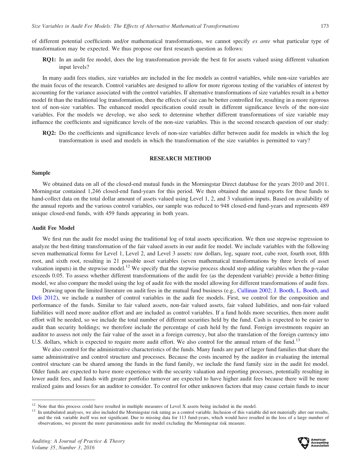of different potential coefficients and/or mathematical transformations, we cannot specify ex ante what particular type of transformation may be expected. We thus propose our first research question as follows:

RQ1: In an audit fee model, does the log transformation provide the best fit for assets valued using different valuation input levels?

In many audit fees studies, size variables are included in the fee models as control variables, while non-size variables are the main focus of the research. Control variables are designed to allow for more rigorous testing of the variables of interest by accounting for the variance associated with the control variables. If alternative transformations of size variables result in a better model fit than the traditional log transformation, then the effects of size can be better controlled for, resulting in a more rigorous test of non-size variables. The enhanced model specification could result in different significance levels of the non-size variables. For the models we develop, we also seek to determine whether different transformations of size variable may influence the coefficients and significance levels of the non-size variables. This is the second research question of our study:

RQ2: Do the coefficients and significance levels of non-size variables differ between audit fee models in which the log transformation is used and models in which the transformation of the size variables is permitted to vary?

### RESEARCH METHOD

### Sample

We obtained data on all of the closed-end mutual funds in the Morningstar Direct database for the years 2010 and 2011. Morningstar contained 1,246 closed-end fund-years for this period. We then obtained the annual reports for these funds to hand-collect data on the total dollar amount of assets valued using Level 1, 2, and 3 valuation inputs. Based on availability of the annual reports and the various control variables, our sample was reduced to 948 closed-end fund-years and represents 489 unique closed-end funds, with 459 funds appearing in both years.

### Audit Fee Model

We first run the audit fee model using the traditional log of total assets specification. We then use stepwise regression to analyze the best-fitting transformation of the fair valued assets in our audit fee model. We include variables with the following seven mathematical forms for Level 1, Level 2, and Level 3 assets: raw dollars, log, square root, cube root, fourth root, fifth root, and sixth root, resulting in 21 possible asset variables (seven mathematical transformations by three levels of asset valuation inputs) in the stepwise model.<sup>12</sup> We specify that the stepwise process should stop adding variables when the p-value exceeds 0.05. To assess whether different transformations of the audit fee (as the dependent variable) provide a better-fitting model, we also compare the model using the log of audit fee with the model allowing for different transformations of audit fees.

Drawing upon the limited literature on audit fees in the mutual fund business (e.g., Cullinan 2002; J. Booth, L. Booth, and Deli 2012), we include a number of control variables in the audit fee models. First, we control for the composition and performance of the funds. Similar to fair valued assets, non-fair valued assets, fair valued liabilities, and non-fair valued liabilities will need more auditor effort and are included as control variables. If a fund holds more securities, then more audit effort will be needed, so we include the total number of different securities held by the fund. Cash is expected to be easier to audit than security holdings; we therefore include the percentage of cash held by the fund. Foreign investments require an auditor to assess not only the fair value of the asset in a foreign currency, but also the translation of the foreign currency into U.S. dollars, which is expected to require more audit effort. We also control for the annual return of the fund.<sup>13</sup>

We also control for the administrative characteristics of the funds. Many funds are part of larger fund families that share the same administrative and control structure and processes. Because the costs incurred by the auditor in evaluating the internal control structure can be shared among the funds in the fund family, we include the fund family size in the audit fee model. Older funds are expected to have more experience with the security valuation and reporting processes, potentially resulting in lower audit fees, and funds with greater portfolio turnover are expected to have higher audit fees because there will be more realized gains and losses for an auditor to consider. To control for other unknown factors that may cause certain funds to incur



 $12$  Note that this process could have resulted in multiple measures of Level X assets being included in the model.<br><sup>13</sup> In untabulated analyses, we also included the Morningstar risk rating as a control variable. Inclusi and the risk variable itself was not significant. Due to missing data for 113 fund-years, which would have resulted in the loss of a large number of observations, we present the more parsimonious audit fee model excluding the Morningstar risk measure.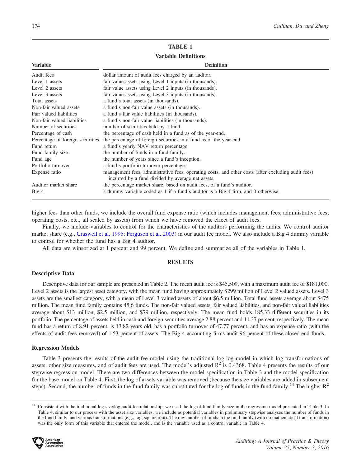## TABLE 1

## Variable Definitions

|  | Definition |
|--|------------|
|  |            |
|  |            |
|  |            |

| <b>Variable</b>                  | <b>Definition</b>                                                                                                                                        |
|----------------------------------|----------------------------------------------------------------------------------------------------------------------------------------------------------|
| Audit fees                       | dollar amount of audit fees charged by an auditor.                                                                                                       |
| Level 1 assets                   | fair value assets using Level 1 inputs (in thousands).                                                                                                   |
| Level 2 assets                   | fair value assets using Level 2 inputs (in thousands).                                                                                                   |
| Level 3 assets                   | fair value assets using Level 3 inputs (in thousands).                                                                                                   |
| Total assets                     | a fund's total assets (in thousands).                                                                                                                    |
| Non-fair valued assets           | a fund's non-fair value assets (in thousands).                                                                                                           |
| Fair valued liabilities          | a fund's fair value liabilities (in thousands).                                                                                                          |
| Non-fair valued liabilities      | a fund's non-fair value liabilities (in thousands).                                                                                                      |
| Number of securities             | number of securities held by a fund.                                                                                                                     |
| Percentage of cash               | the percentage of cash held in a fund as of the year-end.                                                                                                |
| Percentage of foreign securities | the percentage of foreign securities in a fund as of the year-end.                                                                                       |
| Fund return                      | a fund's yearly NAV return percentage.                                                                                                                   |
| Fund family size                 | the number of funds in a fund family.                                                                                                                    |
| Fund age                         | the number of years since a fund's inception.                                                                                                            |
| Portfolio turnover               | a fund's portfolio turnover percentage.                                                                                                                  |
| Expense ratio                    | management fees, administrative fees, operating costs, and other costs (after excluding audit fees)<br>incurred by a fund divided by average net assets. |
| Auditor market share             | the percentage market share, based on audit fees, of a fund's auditor.                                                                                   |
| Big 4                            | a dummy variable coded as 1 if a fund's auditor is a Big 4 firm, and 0 otherwise.                                                                        |

higher fees than other funds, we include the overall fund expense ratio (which includes management fees, administrative fees, operating costs, etc., all scaled by assets) from which we have removed the effect of audit fees.

Finally, we include variables to control for the characteristics of the auditors performing the audits. We control auditor market share (e.g., Craswell et al. 1995; Ferguson et al. 2003) in our audit fee model. We also include a Big 4 dummy variable to control for whether the fund has a Big 4 auditor.

All data are winsorized at 1 percent and 99 percent. We define and summarize all of the variables in Table 1.

### **RESULTS**

### Descriptive Data

Descriptive data for our sample are presented in Table 2. The mean audit fee is \$45,509, with a maximum audit fee of \$181,000. Level 2 assets is the largest asset category, with the mean fund having approximately \$299 million of Level 2 valued assets. Level 3 assets are the smallest category, with a mean of Level 3 valued assets of about \$6.5 million. Total fund assets average about \$475 million. The mean fund family contains 45.6 funds. The non-fair valued assets, fair valued liabilities, and non-fair valued liabilities average about \$13 million, \$2.5 million, and \$79 million, respectively. The mean fund holds 185.33 different securities in its portfolio. The percentage of assets held in cash and foreign securities average 2.88 percent and 11.37 percent, respectively. The mean fund has a return of 8.91 percent, is 13.82 years old, has a portfolio turnover of 47.77 percent, and has an expense ratio (with the effects of audit fees removed) of 1.53 percent of assets. The Big 4 accounting firms audit 96 percent of these closed-end funds.

#### Regression Models

Table 3 presents the results of the audit fee model using the traditional log-log model in which log transformations of assets, other size measures, and of audit fees are used. The model's adjusted  $R^2$  is 0.4368. Table 4 presents the results of our stepwise regression model. There are two differences between the model specification in Table 3 and the model specification for the base model on Table 4. First, the log of assets variable was removed (because the size variables are added in subsequent steps). Second, the number of funds in the fund family was substituted for the log of funds in the fund family.<sup>14</sup> The higher  $R^2$ 

<sup>&</sup>lt;sup>14</sup> Consistent with the traditional log size/log audit fee relationship, we used the log of fund family size in the regression model presented in Table 3. In Table 4, similar to our process with the asset size variables, we include as potential variables in preliminary stepwise analyses the number of funds in the fund family, and various transformations (e.g., log, square root). The raw number of funds in the fund family (with no mathematical transformation) was the only form of this variable that entered the model, and is the variable used as a control variable in Table 4.

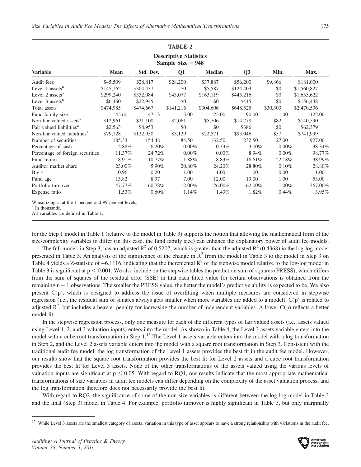|                                                        |           |           | <b>TABLE 2</b> |               |                |           |             |
|--------------------------------------------------------|-----------|-----------|----------------|---------------|----------------|-----------|-------------|
| <b>Descriptive Statistics</b><br>Sample Size $= 948$   |           |           |                |               |                |           |             |
| <b>Variable</b>                                        | Mean      | Std. Dev. | Q <sub>1</sub> | <b>Median</b> | Q <sub>3</sub> | Min.      | Max.        |
| Audit fees                                             | \$45,509  | \$28,817  | \$28,200       | \$37,887      | \$56,200       | \$9,866   | \$181,000   |
| Level 1 assets <sup>a</sup>                            | \$145,162 | \$304,437 | \$0            | \$5,587       | \$124,403      | \$0       | \$1,560,827 |
| Level 2 assets <sup>a</sup>                            | \$299,240 | \$352,084 | \$43,077       | \$163,119     | \$445,216      | \$0       | \$1,655,622 |
| Level 3 assets <sup>a</sup>                            | \$6,460   | \$22,945  | \$0            | \$0           | \$415          | \$0       | \$156,448   |
| Total assets <sup>a</sup>                              | \$474,985 | \$474,667 | \$141,216      | \$304,606     | \$648,525      | \$30,303  | \$2,470,536 |
| Fund family size                                       | 45.60     | 47.13     | 5.00           | 25.00         | 90.00          | 1.00      | 122.00      |
| Non-fair valued assets <sup>a</sup>                    | \$12,961  | \$21,100  | \$2,061        | \$5,706       | \$14,778       | \$82      | \$140,590   |
| Fair valued liabilities <sup>a</sup>                   | \$2,563   | \$8,953   | \$0            | \$0           | \$386          | \$0       | \$62,379    |
| Non-fair valued liabilities <sup>a</sup>               | \$79,128  | \$132,950 | \$3,129        | \$22,571      | \$93,046       | \$57      | \$741,999   |
| Number of securities                                   | 185.33    | 154.48    | 84.50          | 132.50        | 232.50         | 27.00     | 927.00      |
| Percentage of cash                                     | 2.88%     | $6.20\%$  | $0.00\%$       | $0.33\%$      | $3.00\%$       | $0.00\%$  | 38.34%      |
| Percentage of foreign securities                       | 11.37%    | 24.72%    | $0.00\%$       | $0.00\%$      | 8.94%          | $0.00\%$  | 98.77%      |
| Fund return                                            | 8.91%     | 10.77%    | 1.88%          | 8.83%         | $16.61\%$      | $-22.18%$ | 38.99%      |
| Auditor market share                                   | 23.00%    | 5.90%     | 20.80%         | 24.20%        | 28.80%         | 0.10%     | 28.80%      |
| Big 4                                                  | 0.96      | 0.20      | 1.00           | 1.00          | 1.00           | 0.00      | 1.00        |
| Fund age                                               | 13.82     | 8.97      | 7.00           | 12.00         | 19.00          | 1.00      | 53.00       |
| Portfolio turnover                                     | 47.77%    | 60.78%    | 12.00%         | 26.00%        | 62.00%         | $1.00\%$  | 367.00%     |
| Expense ratio                                          | 1.53%     | $0.60\%$  | 1.14%          | 1.43%         | 1.82%          | 0.44%     | 3.95%       |
| Winsorizing is at the 1 percent and 99 percent levels. |           |           |                |               |                |           |             |

<sup>a</sup> In thousands.

All variables are defined in Table 1.

for the Step 1 model in Table 1 (relative to the model in Table 3) supports the notion that allowing the mathematical form of the size/complexity variables to differ (in this case, the fund family size) can enhance the explanatory power of audit fee models.

The full model, in Step 3, has an adjusted  $R^2$  of 0.5207, which is greater than the adjusted  $R^2$  (0.4368) in the log-log model presented in Table 3. An analysis of the significance of the change in  $R^2$  from the model in Table 3 to the model in Step 3 on Table 4 yields a Z-statistic of  $-6.1116$ , indicating that the incremental  $R^2$  of the stepwise model relative to the log-log model in Table 3 is significant at  $p < 0.001$ . We also include on the stepwise tables the prediction sum of squares (PRESS), which differs from the sum of squares of the residual error (SSE) in that each fitted value for certain observations is obtained from the remaining n – 1 observations. The smaller the PRESS value, the better the model's predictive ability is expected to be. We also present C(p), which is designed to address the issue of overfitting when multiple measures are considered in stepwise regression (i.e., the residual sum of squares always gets smaller when more variables are added to a model). C(p) is related to adjusted  $R^2$ , but includes a heavier penalty for increasing the number of independent variables. A lower  $C(p)$  reflects a better model fit.

In the stepwise regression process, only one measure for each of the different types of fair valued assets (i.e., assets valued using Level 1, 2, and 3 valuation inputs) enters into the model. As shown in Table 4, the Level 3 assets variable enters into the model with a cube root transformation in Step 1.<sup>15</sup> The Level 1 assets variable enters into the model with a log transformation in Step 2, and the Level 2 assets variable enters into the model with a square root transformation in Step 3. Consistent with the traditional audit fee model, the log transformation of the Level 1 assets provides the best fit in the audit fee model. However, our results show that the square root transformation provides the best fit for Level 2 assets and a cube root transformation provides the best fit for Level 3 assets. None of the other transformations of the assets valued using the various levels of valuation inputs are significant at  $p \le 0.05$ . With regard to RQ1, our results indicate that the most appropriate mathematical transformations of size variables in audit fee models can differ depending on the complexity of the asset valuation process, and the log transformation therefore does not necessarily provide the best fit.

With regard to RQ2, the significance of some of the non-size variables is different between the log-log model in Table 3 and the final (Step 3) model in Table 4. For example, portfolio turnover is highly significant in Table 3, but only marginally



<sup>&</sup>lt;sup>15</sup> While Level 3 assets are the smallest category of assets, variation in this type of asset appears to have a strong relationship with variations in the audit fee.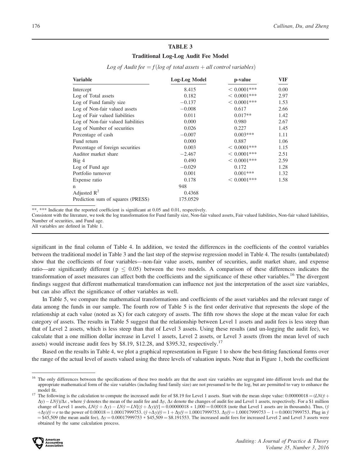### TABLE 3

### Traditional Log-Log Audit Fee Model

| <b>Variable</b>                    | Log-Log Model | p-value        | VIF  |
|------------------------------------|---------------|----------------|------|
| Intercept                          | 8.415         | $< 0.0001$ *** | 0.00 |
| Log of Total assets                | 0.182         | $< 0.0001$ *** | 2.97 |
| Log of Fund family size            | $-0.137$      | $< 0.0001$ *** | 1.53 |
| Log of Non-fair valued assets      | $-0.008$      | 0.617          | 2.66 |
| Log of Fair valued liabilities     | 0.011         | $0.017**$      | 1.42 |
| Log of Non-fair valued liabilities | 0.000         | 0.980          | 2.67 |
| Log of Number of securities        | 0.026         | 0.227          | 1.45 |
| Percentage of cash                 | $-0.007$      | $0.003***$     | 1.11 |
| Fund return                        | 0.000         | 0.887          | 1.06 |
| Percentage of foreign securities   | 0.003         | $< 0.0001$ *** | 1.15 |
| Auditor market share               | $-2.467$      | $< 0.0001$ *** | 2.51 |
| Big4                               | 0.490         | $< 0.0001$ *** | 2.59 |
| Log of Fund age                    | $-0.029$      | 0.172          | 1.28 |
| Portfolio turnover                 | 0.001         | $0.001***$     | 1.32 |
| Expense ratio                      | 0.178         | $< 0.0001$ *** | 1.58 |
| n                                  | 948           |                |      |
| Adjusted $R^2$                     | 0.4368        |                |      |
| Prediction sum of squares (PRESS)  | 175.0529      |                |      |

Log of Audit fee  $=f(\log$  of total assets  $+$  all control variables)

\*\*, \*\*\* Indicate that the reported coefficient is significant at 0.05 and 0.01, respectively.

Consistent with the literature, we took the log transformation for Fund family size, Non-fair valued assets, Fair valued liabilities, Non-fair valued liabilities, Number of securities, and Fund age.

All variables are defined in Table 1.

significant in the final column of Table 4. In addition, we tested the differences in the coefficients of the control variables between the traditional model in Table 3 and the last step of the stepwise regression model in Table 4. The results (untabulated) show that the coefficients of four variables—non-fair value assets, number of securities, audit market share, and expense ratio—are significantly different ( $p \le 0.05$ ) between the two models. A comparison of these differences indicates the transformation of asset measures can affect both the coefficients and the significance of these other variables.<sup>16</sup> The divergent findings suggest that different mathematical transformation can influence not just the interpretation of the asset size variables, but can also affect the significance of other variables as well.

In Table 5, we compare the mathematical transformations and coefficients of the asset variables and the relevant range of data among the funds in our sample. The fourth row of Table 5 is the first order derivative that represents the slope of the relationship at each value (noted as X) for each category of assets. The fifth row shows the slope at the mean value for each category of assets. The results in Table 5 suggest that the relationship between Level 1 assets and audit fees is less steep than that of Level 2 assets, which is less steep than that of Level 3 assets. Using these results (and un-logging the audit fee), we calculate that a one million dollar increase in Level 1 assets, Level 2 assets, or Level 3 assets (from the mean level of such assets) would increase audit fees by \$8.19, \$12.28, and \$395.32, respectively.<sup>17</sup>

Based on the results in Table 4, we plot a graphical representation in Figure 1 to show the best-fitting functional forms over the range of the actual level of assets valued using the three levels of valuation inputs. Note that in Figure 1, both the coefficient

 $\Delta y$ ) – LNy $y/\Delta x$ , where y denotes the mean of the audit fee and  $\Delta y$ ,  $\Delta x$  denote the changes of audit fee and Level 1 assets, respectively. For a \$1 million change of Level 1 assets,  $LN(\bar{y} + \Delta y) - LN\bar{y} = LN[(\bar{y} + \Delta y)/\bar{y}] = 0.00000018 * 1,000 = 0.00018$  (note that Level 1 assets are in thousands). Thus, ( $\bar{y}$  $+\Delta y$ )/ $\bar{y} = e$  to the power of 0.00018 = 1.00017999753.  $(\bar{y} + \Delta y)/\bar{y} = 1 + \Delta y/\bar{y} = 1.00017999753$ .  $\Delta y/\bar{y} = 1.00017999753 - 1 = 0.00017999753$ . Plug in  $\bar{y}$  $\approx$  \$45,509 (the mean audit fee),  $\Delta y$  = 0.00017999753  $*$  \$45,509 = \$8.191553. The increased audit fees for increased Level 2 and Level 3 assets were obtained by the same calculation process.



<sup>&</sup>lt;sup>16</sup> The only differences between the specifications of these two models are that the asset size variables are segregated into different levels and that the appropriate mathematical form of the size variables (including fund family size) are not presumed to be the log, but are permitted to vary to enhance the model fit.<br>The following is the calculation to compute the increased audit fee of \$8.19 for Level 1 assets. Start with the mean slope value: 0.00000018 =  $(LN(\bar{y} +$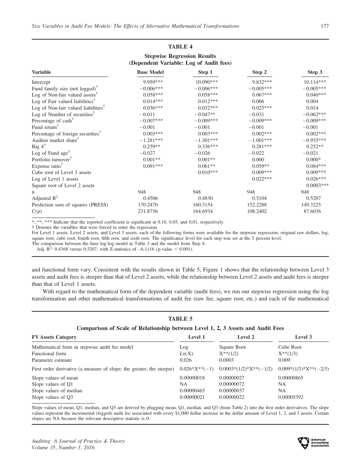## TABLE 4 Stepwise Regression Results (Dependent Variable: Log of Audit fees)

| <b>Variable</b>                                                  | <b>Base Model</b> | Step 1      | Step 2      | Step 3      |
|------------------------------------------------------------------|-------------------|-------------|-------------|-------------|
| Intercept                                                        | 9.959***          | $10.090***$ | 9.832***    | $10.114***$ |
| Fund family size (not logged) <sup><math>\uparrow</math></sup>   | $-0.006***$       | $-0.006***$ | $-0.005***$ | $-0.005***$ |
| Log of Non-fair valued assets <sup><math>\mathsf{T}</math></sup> | $0.058***$        | $0.058***$  | $0.067***$  | $0.040***$  |
| Log of Fair valued liabilities <sup><math>†</math></sup>         | $0.014***$        | $0.012***$  | 0.006       | 0.004       |
| Log of Non-fair valued liabilities <sup>†</sup>                  | $0.036***$        | $0.032***$  | $0.025***$  | 0.014       |
| Log of Number of securities <sup>†</sup>                         | $-0.011$          | $-0.047**$  | $-0.031$    | $-0.062***$ |
| Percentage of cash <sup>†</sup>                                  | $-0.007***$       | $-0.009***$ | $-0.009***$ | $-0.009***$ |
| Fund return $^{\dagger}$                                         | $-0.001$          | $-0.001$    | $-0.001$    | $-0.001$    |
| Percentage of foreign securities <sup>T</sup>                    | $0.003***$        | $0.003***$  | $0.002***$  | $0.002***$  |
| Auditor market share <sup>†</sup>                                | $-1.281***$       | $-1.301***$ | $-1.001***$ | $-0.935***$ |
| Big $4^{\dagger}$                                                | $0.259**$         | $0.336***$  | $0.281***$  | $0.252**$   |
| Log of Fund age <sup>†</sup>                                     | $-0.027$          | $-0.026$    | $-0.022$    | $-0.021$    |
| Portfolio turnover <sup>†</sup>                                  | $0.001**$         | $0.001**$   | 0.000       | $0.000*$    |
| Expense ratio <sup>†</sup>                                       | $0.091***$        | $0.061**$   | $0.059**$   | $0.084***$  |
| Cube root of Level 3 assets                                      |                   | $0.010***$  | $0.009***$  | $0.009***$  |
| Log of Level 1 assets                                            |                   |             | $0.022***$  | $0.026***$  |
| Square root of Level 2 assets                                    |                   |             |             | $0.0003***$ |
| n                                                                | 948               | 948         | 948         | 948         |
| Adjusted $R^2$                                                   | 0.4506            | 0.4830      | 0.5104      | 0.5207      |
| Prediction sum of squares (PRESS)                                | 170.2470          | 160.3154    | 152.2288    | 149.3225    |
| C(p)                                                             | 231.8756          | 164.6934    | 108.2402    | 87.6036     |

\*, \*\*, \*\*\* Indicate that the reported coefficient is significant at 0.10, 0.05, and 0.01, respectively.

- Denotes the variables that were forced to enter the regression.

For Level 1 assets, Level 2 assets, and Level 3 assets, each of the following forms were available for the stepwise regression: original raw dollars, log, square root, cube root, fourth root, fifth root, and sixth root. The significance level for each step was set at the 5 percent level.

The comparison between the base log-log model in Table 3 and the model from Step 4:

Adj.  $\mathbb{R}^2$ : 0.4368 versus 0.5207, with Z-statistics of -6.1116 (p-value < 0.001).

and functional form vary. Consistent with the results shown in Table 5, Figure 1 shows that the relationship between Level 3 assets and audit fees is steeper than that of Level 2 assets, while the relationship between Level 2 assets and audit fees is steeper than that of Level 1 assets.

With regard to the mathematical form of the dependent variable (audit fees), we run our stepwise regression using the log transformation and other mathematical transformations of audit fee (raw fee, square root, etc.) and each of the mathematical

| <b>TABLE 5</b>  |                          |                                                                                 |  |  |  |  |
|-----------------|--------------------------|---------------------------------------------------------------------------------|--|--|--|--|
|                 |                          |                                                                                 |  |  |  |  |
| Level 1         | Level 2                  | Level 3                                                                         |  |  |  |  |
| Log             | Square Root              | Cube Root                                                                       |  |  |  |  |
| Ln(X)           | $X^{**}(1/2)$            | $X^{**}(1/3)$                                                                   |  |  |  |  |
| 0.026           | 0.0003                   | 0.009                                                                           |  |  |  |  |
| $0.026*X**(-1)$ | $0.0003*(1/2)*X**(-1/2)$ | $0.009*(1/3)*X**(-2/3)$                                                         |  |  |  |  |
| 0.00000018      | 0.00000027               | 0.00000865                                                                      |  |  |  |  |
| NA.             | 0.00000072               | NA.                                                                             |  |  |  |  |
| 0.00000465      | 0.00000037               | NA.                                                                             |  |  |  |  |
| 0.00000021      | 0.00000022               | 0.00005392                                                                      |  |  |  |  |
|                 |                          | Comparison of Scale of Relationship between Level 1, 2, 3 Assets and Audit Fees |  |  |  |  |

Slope values of mean, Q1, median, and Q3 are derived by plugging mean, Q1, median, and Q3 (from Table 2) into the first order derivatives. The slope values represent the incremental (logged) audit fee associated with every \$1,000 dollar increase in the dollar amount of Level 1, 2, and 3 assets. Certain slopes are NA because the relevant descriptive statistic is 0.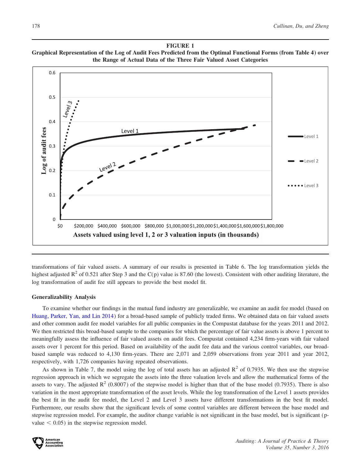### FIGURE 1 Graphical Representation of the Log of Audit Fees Predicted from the Optimal Functional Forms (from Table 4) over the Range of Actual Data of the Three Fair Valued Asset Categories



transformations of fair valued assets. A summary of our results is presented in Table 6. The log transformation yields the highest adjusted  $R^2$  of 0.521 after Step 3 and the C(p) value is 87.60 (the lowest). Consistent with other auditing literature, the log transformation of audit fee still appears to provide the best model fit.

### Generalizability Analysis

To examine whether our findings in the mutual fund industry are generalizable, we examine an audit fee model (based on Huang, Parker, Yan, and Lin 2014) for a broad-based sample of publicly traded firms. We obtained data on fair valued assets and other common audit fee model variables for all public companies in the Compustat database for the years 2011 and 2012. We then restricted this broad-based sample to the companies for which the percentage of fair value assets is above 1 percent to meaningfully assess the influence of fair valued assets on audit fees. Compustat contained 4,234 firm-years with fair valued assets over 1 percent for this period. Based on availability of the audit fee data and the various control variables, our broadbased sample was reduced to 4,130 firm-years. There are 2,071 and 2,059 observations from year 2011 and year 2012, respectively, with 1,726 companies having repeated observations.

As shown in Table 7, the model using the log of total assets has an adjusted  $R^2$  of 0.7935. We then use the stepwise regression approach in which we segregate the assets into the three valuation levels and allow the mathematical forms of the assets to vary. The adjusted  $R^2$  (0.8007) of the stepwise model is higher than that of the base model (0.7935). There is also variation in the most appropriate transformation of the asset levels. While the log transformation of the Level 1 assets provides the best fit in the audit fee model, the Level 2 and Level 3 assets have different transformations in the best fit model. Furthermore, our results show that the significant levels of some control variables are different between the base model and stepwise regression model. For example, the auditor change variable is not significant in the base model, but is significant (pvalue  $< 0.05$ ) in the stepwise regression model.

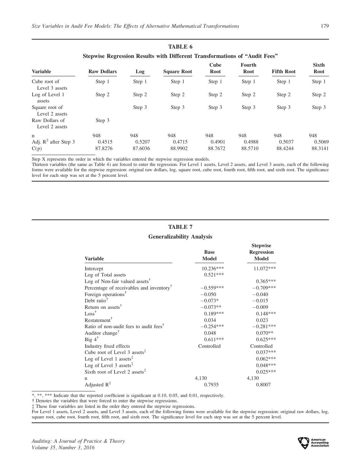|                                  |                    | Stepwise Regression Results with Different Transformations of "Audit Fees" |                    |              |                       |                   |                      |
|----------------------------------|--------------------|----------------------------------------------------------------------------|--------------------|--------------|-----------------------|-------------------|----------------------|
| <b>Variable</b>                  | <b>Raw Dollars</b> | Log                                                                        | <b>Square Root</b> | Cube<br>Root | <b>Fourth</b><br>Root | <b>Fifth Root</b> | <b>Sixth</b><br>Root |
| Cube root of<br>Level 3 assets   | Step 1             | Step 1                                                                     | Step 1             | Step 1       | Step 1                | Step 1            | Step 1               |
| Log of Level 1<br>assets         | Step 2             | Step 2                                                                     | Step 2             | Step 2       | Step 2                | Step 2            | Step 2               |
| Square root of<br>Level 2 assets |                    | Step 3                                                                     | Step 3             | Step 3       | Step 3                | Step 3            | Step 3               |
| Raw Dollars of<br>Level 2 assets | Step 3             |                                                                            |                    |              |                       |                   |                      |
| n                                | 948                | 948                                                                        | 948                | 948          | 948                   | 948               | 948                  |
| Adj. $R^2$ after Step 3          | 0.4515             | 0.5207                                                                     | 0.4715             | 0.4901       | 0.4988                | 0.5037            | 0.5069               |
| C(p)                             | 87.8276            | 87.6036                                                                    | 88.9902            | 88.7672      | 88.5710               | 88.4244           | 88.3141              |

TABLE 6

Step X represents the order in which the variables entered the stepwise regression models.

Thirteen variables (the same as Table 4) are forced to enter the regression. For Level 1 assets, Level 2 assets, and Level 3 assets, each of the following forms were available for the stepwise regression: original raw dollars, log, square root, cube root, fourth root, fifth root, and sixth root. The significance level for each step was set at the 5 percent level.

## TABLE 7 Generalizability Analysis

| <b>Variable</b>                                                            | <b>Base</b><br><b>Model</b> | <b>Stepwise</b><br><b>Regression</b><br><b>Model</b> |
|----------------------------------------------------------------------------|-----------------------------|------------------------------------------------------|
| Intercept                                                                  | 10.236***                   | 11.072***                                            |
| Log of Total assets                                                        | $0.521***$                  |                                                      |
| Log of Non-fair valued assets <sup><math>\mathsf{T}</math></sup>           |                             | $0.365***$                                           |
| Percentage of receivables and inventory <sup><math>\mathsf{T}</math></sup> | $-0.559***$                 | $-0.709***$                                          |
| Foreign operations <sup>†</sup>                                            | $-0.050$                    | $-0.040$                                             |
| Debt ratio <sup><math>\dagger</math></sup>                                 | $-0.073*$                   | $-0.015$                                             |
| Return on assets <sup><math>\uparrow</math></sup>                          | $-0.073**$                  | $-0.009$                                             |
| $Loss^{\dagger}$                                                           | $0.189***$                  | $0.148***$                                           |
| Restatement <sup>†</sup>                                                   | 0.034                       | 0.023                                                |
| Ratio of non-audit fees to audit fees <sup><math>\uparrow</math></sup>     | $-0.254***$                 | $-0.281***$                                          |
| Auditor change <sup>†</sup>                                                | 0.048                       | $0.070**$                                            |
| Big $4^{\dagger}$                                                          | $0.611***$                  | $0.625***$                                           |
| Industry fixed effects                                                     | Controlled                  | Controlled                                           |
| Cube root of Level 3 assets $‡$                                            |                             | $0.037***$                                           |
| Log of Level 1 assets <sup><math>\ddagger</math></sup>                     |                             | $0.062***$                                           |
| Log of Level 3 assets $‡$                                                  |                             | $0.048***$                                           |
| Sixth root of Level 2 assets <sup><math>\ddagger</math></sup>              |                             | $0.025***$                                           |
| n                                                                          | 4,130                       | 4,130                                                |
| Adjusted $R^2$                                                             | 0.7935                      | 0.8007                                               |

\*, \*\*, \*\*\* Indicate that the reported coefficient is significant at 0.10, 0.05, and 0.01, respectively.

- Denotes the variables that were forced to enter the stepwise regressions.

These four variables are listed in the order they entered the stepwise regressions.

For Level 1 assets, Level 2 assets, and Level 3 assets, each of the following forms were available for the stepwise regression: original raw dollars, log, square root, cube root, fourth root, fifth root, and sixth root. The significance level for each step was set at the 5 percent level.

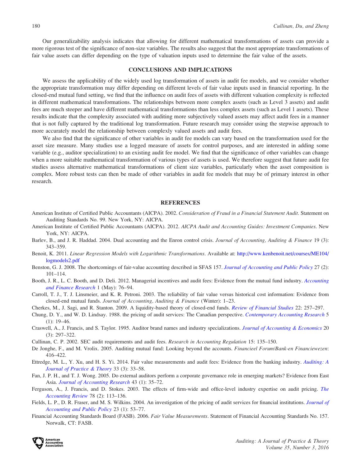Our generalizability analysis indicates that allowing for different mathematical transformations of assets can provide a more rigorous test of the significance of non-size variables. The results also suggest that the most appropriate transformations of fair value assets can differ depending on the type of valuation inputs used to determine the fair value of the assets.

### CONCLUSIONS AND IMPLICATIONS

We assess the applicability of the widely used log transformation of assets in audit fee models, and we consider whether the appropriate transformation may differ depending on different levels of fair value inputs used in financial reporting. In the closed-end mutual fund setting, we find that the influence on audit fees of assets with different valuation complexity is reflected in different mathematical transformations. The relationships between more complex assets (such as Level 3 assets) and audit fees are much steeper and have different mathematical transformations than less complex assets (such as Level 1 assets). These results indicate that the complexity associated with auditing more subjectively valued assets may affect audit fees in a manner that is not fully captured by the traditional log transformation. Future research may consider using the stepwise approach to more accurately model the relationship between complexly valued assets and audit fees.

We also find that the significance of other variables in audit fee models can vary based on the transformation used for the asset size measure. Many studies use a logged measure of assets for control purposes, and are interested in adding some variable (e.g., auditor specialization) to an existing audit fee model. We find that the significance of other variables can change when a more suitable mathematical transformation of various types of assets is used. We therefore suggest that future audit fee studies assess alternative mathematical transformations of client size variables, particularly when the asset composition is complex. More robust tests can then be made of other variables in audit fee models that may be of primary interest in other research.

### **REFERENCES**

- American Institute of Certified Public Accountants (AICPA). 2002. Consideration of Fraud in a Financial Statement Audit. Statement on Auditing Standards No. 99. New York, NY: AICPA.
- American Institute of Certified Public Accountants (AICPA). 2012. AICPA Audit and Accounting Guides: Investment Companies. New York, NY: AICPA.
- Barlev, B., and J. R. Haddad. 2004. Dual accounting and the Enron control crisis. Journal of Accounting, Auditing & Finance 19 (3): 343–359.
- Benoit, K. 2011. Linear Regression Models with Logarithmic Transformations. Available at: [http://www.kenbenoit.net/courses/ME104/](http://www.kenbenoit.net/courses/ME104/logmodels2.pdf) [logmodels2.pdf](http://www.kenbenoit.net/courses/ME104/logmodels2.pdf)
- Benston, G. J. 2008. The shortcomings of fair-value accounting described in SFAS 157. [Journal of Accounting and Public Policy](dx.doi.org/10.1016/j.jaccpubpol.2008.01.001) 27 (2): 101–114.
- Booth, J. R., L. C. Booth, and D. Deli. 2012. Managerial incentives and audit fees: Evidence from the mutual fund industry. [Accounting](dx.doi.org/10.5430/afr.v1n1p76) [and Finance Research](dx.doi.org/10.5430/afr.v1n1p76) 1 (May): 76–94.
- Carroll, T. J., T. J. Linsmeier, and K. R. Petroni. 2003. The reliability of fair value versus historical cost information: Evidence from closed-end mutual funds. Journal of Accounting, Auditing & Finance (Winter): 1–23.
- Cherkes, M., J. Sagi, and R. Stanton. 2009. A liquidity-based theory of closed-end funds. [Review of Financial Studies](dx.doi.org/10.1093/rfs/hhn028) 22: 257–297.
- Chung, D. Y., and W. D. Lindsay. 1988. the pricing of audit services: The Canadian perspective. [Contemporary Accounting Research](dx.doi.org/10.1111/j.1911-3846.1988.tb00693.x) 5  $(1): 19-46.$
- Craswell, A., J. Francis, and S. Taylor. 1995. Auditor brand names and industry specializations. [Journal of Accounting](dx.doi.org/10.1016/0165-4101(95)00403-3) [& Economics](dx.doi.org/10.1016/0165-4101(95)00403-3) 20 (3): 297–322.
- Cullinan, C. P. 2002. SEC audit requirements and audit fees. Research in Accounting Regulation 15: 135–150.
- De Jonghe, F., and M. Vrolix. 2005. Auditing mutual fund: Looking beyond the accounts. Financieel Forum/Bank-en Financiewezen: 416–422.
- Ettredge, M. L., Y. Xu, and H. S. Yi. 2014. Fair value measurements and audit fees: Evidence from the banking industry. [Auditing: A](dx.doi.org/10.2308/ajpt-50701) [Journal of Practice & Theory](dx.doi.org/10.2308/ajpt-50701) 33 (3): 33–58.
- Fan, J. P. H., and T. J. Wong. 2005. Do external auditors perform a corporate governance role in emerging markets? Evidence from East Asia. [Journal of Accounting Research](dx.doi.org/10.1111/j.1475-679x.2004.00162.x) 43 (1): 35–72.
- Ferguson, A., J. Francis, and D. Stokes. 2003. The effects of firm-wide and office-level industry expertise on audit pricing. [The](dx.doi.org/10.2308/accr.2003.78.2.429) [Accounting Review](dx.doi.org/10.2308/accr.2003.78.2.429) 78 (2): 113–136.
- Fields, L. P., D. R. Fraser, and M. S. Wilkins. 2004. An investigation of the pricing of audit services for financial institutions. [Journal of](dx.doi.org/10.1016/j.jaccpubpol.2003.11.003) [Accounting and Public Policy](dx.doi.org/10.1016/j.jaccpubpol.2003.11.003) 23 (1): 53–77.
- Financial Accounting Standards Board (FASB). 2006. Fair Value Measurements. Statement of Financial Accounting Standards No. 157. Norwalk, CT: FASB.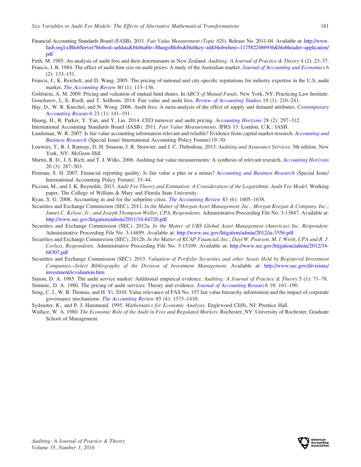- Financial Accounting Standards Board (FASB). 2011. Fair Value Measurement (Topic 820). Release No. 2011-04. Available at: [http://www.](http://www.fasb.org/cs/BlobServer?blobcol=urldata&blobtable=MungoBlobs&blobkey=id&blobwhere=1175822486936&blobheader=application/pdf) [fasb.org/cs/BlobServer?blobcol](http://www.fasb.org/cs/BlobServer?blobcol=urldata&blobtable=MungoBlobs&blobkey=id&blobwhere=1175822486936&blobheader=application/pdf)=[urldata&blobtable](http://www.fasb.org/cs/BlobServer?blobcol=urldata&blobtable=MungoBlobs&blobkey=id&blobwhere=1175822486936&blobheader=application/pdf)=[MungoBlobs&blobkey](http://www.fasb.org/cs/BlobServer?blobcol=urldata&blobtable=MungoBlobs&blobkey=id&blobwhere=1175822486936&blobheader=application/pdf)=[id&blobwhere](http://www.fasb.org/cs/BlobServer?blobcol=urldata&blobtable=MungoBlobs&blobkey=id&blobwhere=1175822486936&blobheader=application/pdf)=[1175822486936&blobheader](http://www.fasb.org/cs/BlobServer?blobcol=urldata&blobtable=MungoBlobs&blobkey=id&blobwhere=1175822486936&blobheader=application/pdf)=[application/](http://www.fasb.org/cs/BlobServer?blobcol=urldata&blobtable=MungoBlobs&blobkey=id&blobwhere=1175822486936&blobheader=application/pdf) [pdf](http://www.fasb.org/cs/BlobServer?blobcol=urldata&blobtable=MungoBlobs&blobkey=id&blobwhere=1175822486936&blobheader=application/pdf)
- Firth, M. 1985. An analysis of audit fees and their determinants in New Zealand. Auditing: A Journal of Practice & Theory 4 (2): 23–37.
- Francis, J. R. 1984. The effect of audit firm size on audit prices: A study of the Australian market. [Journal of Accounting and Economics](dx.doi.org/10.1016/0165-4101(84)90010-7) 6 (2): 133–151.
- Francis, J., K. Reichelt, and D. Wang. 2005. The pricing of national and city-specific reputations for industry expertise in the U.S. audit market. *[The Accounting Review](dx.doi.org/10.2308/accr.2005.80.1.113) 80 (1)*: 113–136.
- Goldstein, A. M. 2009. Pricing and valuation of mutual fund shares. In ABCS of Mutual Funds. New York, NY: Practicing Law Institute. Goncharov, I., E. Riedl, and T. Sellhorn. 2014. Fair value and audit fees. *[Review of Accounting Studies](dx.doi.org/10.1007/s11142-013-9248-5)* 19 (1): 210–241.
- Hay, D., W. R. Knechel, and N. Wong. 2006. Audit fees: A meta-analysis of the effect of supply and demand attributes. [Contemporary](dx.doi.org/10.1506/4XR4-KT5V-E8CN-91GX) [Accounting Research](dx.doi.org/10.1506/4XR4-KT5V-E8CN-91GX) 23 (1): 141–191.
- Huang, H., R. Parker, Y. Yan, and Y. Lin. 2014. CEO turnover and audit pricing. [Accounting Horizons](dx.doi.org/10.2308/acch-50706) 28 (2): 297-312.
- International Accounting Standards Board (IASB). 2011. Fair Value Measurements. IFRS 13. London, U.K.: IASB.
- Landsman, W. R. 2007. Is fair value accounting information relevant and reliable? Evidence from capital market research. [Accounting and](dx.doi.org/10.1080/00014788.2007.9730081) [Business Research](dx.doi.org/10.1080/00014788.2007.9730081) (Special Issue/ International Accounting Policy Forum):19–30.
- Louwers, T., R. J. Ramsay, D. H. Sinason, J. R. Strawser, and J. C. Thibodeau. 2013. Auditing and Assurance Services. 5th edition. New York, NY: McGraw-Hill.
- Martin, R. D., J. S. Rich, and T. J. Wilks. 2006. Auditing fair value measurements: A synthesis of relevant research. [Accounting Horizons](dx.doi.org/10.2308/acch.2006.20.3.287) 20 (3): 287–303.
- Penman, S. H. 2007. Financial reporting quality: Is fair value a plus or a minus? [Accounting and Business Research](dx.doi.org/10.1080/00014788.2007.9730083) (Special Issue/ International Accounting Policy Forum): 33–44.
- Picconi, M., and J. K. Reynolds. 2013. Audit Fee Theory and Estimation: A Consideration of the Logarithmic Audit Fee Model. Working paper, The College of William & Mary and Florida State University.
- Ryan, S. G. 2008. Accounting in and for the subprime crisis. [The Accounting Review](dx.doi.org/10.2308/accr.2008.83.6.1605) 83 (6): 1605–1638.
- Securities and Exchange Commission (SEC). 2011. In the Matter of Morgan Asset Management, Inc.; Morgan Keegan & Company, Inc.; James C. Kelsoe, Jr.; and Joseph Thompson Weller, CPA, Respondents. Administrative Proceeding File No. 3-13847. Available at: <http://www.sec.gov/litigation/admin/2011/34-64720.pdf>
- Securities and Exchange Commission (SEC). 2012a. In the Matter of UBS Global Asset Management (Americas) Inc. Respondent. Administrative Proceeding File No. 3-14699. Available at: <http://www.sec.gov/litigation/admin/2012/ia-3356.pdf>
- Securities and Exchange Commission (SEC). 2012b. In the Matter of KCAP Financial, Inc., Dayl W. Pearson, M. I. Wirth, CPA and R. J. Corless, Respondents. Administrative Proceeding File No. 3-15109. Available at: [http://www.sec.gov/litigation/admin/2012/34-](http://www.sec.gov/litigation/admin/2012/34-68307.pdf) [68307.pdf](http://www.sec.gov/litigation/admin/2012/34-68307.pdf)
- Securities and Exchange Commission (SEC). 2013. Valuation of Portfolio Securities and other Assets Held by Registered Investment Companies—Select Bibliography of the Division of Investment Management. Available at: [http://www.sec.gov/divisions/](http://www.sec.gov/divisions/investment/icvaluation.htm) [investment/icvaluation.htm](http://www.sec.gov/divisions/investment/icvaluation.htm)
- Simon, D. A. 1985. The audit service market: Additional empirical evidence. Auditing: A Journal of Practice & Theory 5 (1): 71-78. Simunic, D. A. 1980. The pricing of audit services: Theory and evidence. [Journal of Accounting Research](dx.doi.org/10.2307/2490397) 18: 161–190.
- Song, C. J., W. B. Thomas, and H. Yi. 2010. Value relevance of FAS No. 157 fair value hierarchy information and the impact of corporate governance mechanisms. [The Accounting Review](dx.doi.org/10.2308/accr.2010.85.4.1375) 85 (4): 1375–1410.
- Sydsaeter, K., and P. J. Hammond. 1995. Mathematics for Economic Analysis. Englewood Cliffs, NJ: Prentice Hall.
- Wallace, W. A. 1980. The Economic Role of the Audit in Free and Regulated Markets. Rochester, NY: University of Rochester, Graduate School of Management.